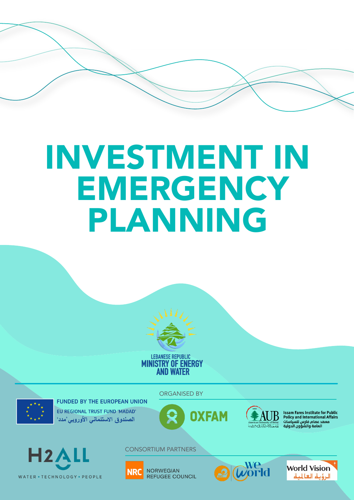# INVESTMENT IN EMERGENCY PLANNING





EU REGIONAL TRUST FUND 'MADAD' الصندوق الاستئماني الأوروبي مدد'

ORGANISED BY

**OXFAM** 



**Issam Fares Institute for Public<br>Policy and International Affairs** r oney and meemationa<br>هد عصام فارس للسياسات<br>العامة والشؤون الدولية



CONSORTIUM PARTNERS





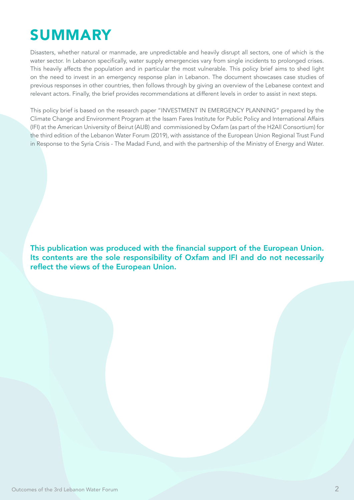# **SUMMARY**

Disasters, whether natural or manmade, are unpredictable and heavily disrupt all sectors, one of which is the water sector. In Lebanon specifically, water supply emergencies vary from single incidents to prolonged crises. This heavily affects the population and in particular the most vulnerable. This policy brief aims to shed light on the need to invest in an emergency response plan in Lebanon. The document showcases case studies of previous responses in other countries, then follows through by giving an overview of the Lebanese context and relevant actors. Finally, the brief provides recommendations at different levels in order to assist in next steps.

This policy brief is based on the research paper "INVESTMENT IN EMERGENCY PLANNING" prepared by the Climate Change and Environment Program at the Issam Fares Institute for Public Policy and International Affairs (IFI) at the American University of Beirut (AUB) and commissioned by Oxfam (as part of the H2All Consortium) for the third edition of the Lebanon Water Forum (2019), with assistance of the European Union Regional Trust Fund in Response to the Syria Crisis - The Madad Fund, and with the partnership of the Ministry of Energy and Water.

This publication was produced with the financial support of the European Union. Its contents are the sole responsibility of Oxfam and IFI and do not necessarily reflect the views of the European Union.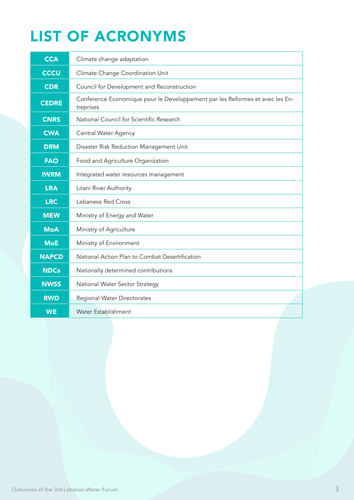# LIST OF ACRONYMS

| <b>CCA</b>      | Climate change adaptation                                                                 |  |  |
|-----------------|-------------------------------------------------------------------------------------------|--|--|
| CC <sub>U</sub> | Climate Change Coordination Unit                                                          |  |  |
| <b>CDR</b>      | Council for Development and Reconstruction                                                |  |  |
| <b>CEDRE</b>    | Conference Economique pour le Developpement par les Reformes et avec les En-<br>treprises |  |  |
| <b>CNRS</b>     | National Council for Scientific Research                                                  |  |  |
| <b>CWA</b>      | Central Water Agency                                                                      |  |  |
| <b>DRM</b>      | Disaster Risk Reduction Management Unit                                                   |  |  |
| <b>FAO</b>      | Food and Agriculture Organization                                                         |  |  |
| <b>IWRM</b>     | Integrated water resources management                                                     |  |  |
| <b>LRA</b>      | Litani River Authority                                                                    |  |  |
| <b>LRC</b>      | Lebanese Red Cross                                                                        |  |  |
| <b>MEW</b>      | Ministry of Energy and Water                                                              |  |  |
| <b>MoA</b>      | Ministry of Agriculture                                                                   |  |  |
| <b>MoE</b>      | Ministry of Environment                                                                   |  |  |
| <b>NAPCD</b>    | National Action Plan to Combat Desertification                                            |  |  |
| <b>NDCs</b>     | Nationally determined contributions                                                       |  |  |
| <b>NWSS</b>     | National Water Sector Strategy                                                            |  |  |
| <b>RWD</b>      | <b>Regional Water Directorates</b>                                                        |  |  |
| <b>WE</b>       | <b>Water Establishment</b>                                                                |  |  |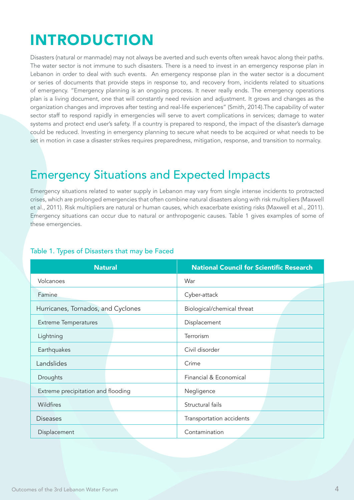# INTRODUCTION

Disasters (natural or manmade) may not always be averted and such events often wreak havoc along their paths. The water sector is not immune to such disasters. There is a need to invest in an emergency response plan in Lebanon in order to deal with such events. An emergency response plan in the water sector is a document or series of documents that provide steps in response to, and recovery from, incidents related to situations of emergency. "Emergency planning is an ongoing process. It never really ends. The emergency operations plan is a living document, one that will constantly need revision and adjustment. It grows and changes as the organization changes and improves after testing and real-life experiences" (Smith, 2014).The capability of water sector staff to respond rapidly in emergencies will serve to avert complications in services; damage to water systems and protect end user's safety. If a country is prepared to respond, the impact of the disaster's damage could be reduced. Investing in emergency planning to secure what needs to be acquired or what needs to be set in motion in case a disaster strikes requires preparedness, mitigation, response, and transition to normalcy.

### Emergency Situations and Expected Impacts

Emergency situations related to water supply in Lebanon may vary from single intense incidents to protracted crises, which are prolonged emergencies that often combine natural disasters along with risk multipliers (Maxwell et al., 2011). Risk multipliers are natural or human causes, which exacerbate existing risks (Maxwell et al., 2011). Emergency situations can occur due to natural or anthropogenic causes. Table 1 gives examples of some of these emergencies.

|  |  | Table 1. Types of Disasters that may be Faced |
|--|--|-----------------------------------------------|
|  |  |                                               |

| <b>Natural</b>                     |  | <b>National Council for Scientific Research</b> |  |
|------------------------------------|--|-------------------------------------------------|--|
| Volcanoes                          |  | War                                             |  |
| Famine                             |  | Cyber-attack                                    |  |
| Hurricanes, Tornados, and Cyclones |  | Biological/chemical threat                      |  |
| <b>Extreme Temperatures</b>        |  | Displacement                                    |  |
| Lightning                          |  | Terrorism                                       |  |
| Earthquakes                        |  | Civil disorder                                  |  |
| Landslides                         |  | Crime                                           |  |
| Droughts                           |  | Financial & Economical                          |  |
| Extreme precipitation and flooding |  | Negligence                                      |  |
| <b>Wildfires</b>                   |  | Structural fails                                |  |
| <b>Diseases</b>                    |  | Transportation accidents                        |  |
| Displacement                       |  | Contamination                                   |  |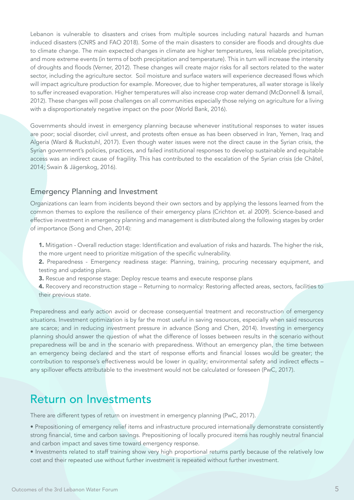Lebanon is vulnerable to disasters and crises from multiple sources including natural hazards and human induced disasters (CNRS and FAO 2018). Some of the main disasters to consider are floods and droughts due to climate change. The main expected changes in climate are higher temperatures, less reliable precipitation, and more extreme events (in terms of both precipitation and temperature). This in turn will increase the intensity of droughts and floods (Verner, 2012). These changes will create major risks for all sectors related to the water sector, including the agriculture sector. Soil moisture and surface waters will experience decreased flows which will impact agriculture production for example. Moreover, due to higher temperatures, all water storage is likely to suffer increased evaporation. Higher temperatures will also increase crop water demand (McDonnell & Ismail, 2012). These changes will pose challenges on all communities especially those relying on agriculture for a living with a disproportionately negative impact on the poor (World Bank, 2016).

Governments should invest in emergency planning because whenever institutional responses to water issues are poor; social disorder, civil unrest, and protests often ensue as has been observed in Iran, Yemen, Iraq and Algeria (Ward & Ruckstuhl, 2017). Even though water issues were not the direct cause in the Syrian crisis, the Syrian government's policies, practices, and failed institutional responses to develop sustainable and equitable access was an indirect cause of fragility. This has contributed to the escalation of the Syrian crisis (de Châtel, 2014; Swain & Jägerskog, 2016).

#### Emergency Planning and Investment

Organizations can learn from incidents beyond their own sectors and by applying the lessons learned from the common themes to explore the resilience of their emergency plans (Crichton et. al 2009). Science-based and effective investment in emergency planning and management is distributed along the following stages by order of importance (Song and Chen, 2014):

- 1. Mitigation Overall reduction stage: Identification and evaluation of risks and hazards. The higher the risk, the more urgent need to prioritize mitigation of the specific vulnerability.
- 2. Preparedness Emergency readiness stage: Planning, training, procuring necessary equipment, and testing and updating plans.
- 3. Rescue and response stage: Deploy rescue teams and execute response plans
- 4. Recovery and reconstruction stage Returning to normalcy: Restoring affected areas, sectors, facilities to their previous state.

Preparedness and early action avoid or decrease consequential treatment and reconstruction of emergency situations. Investment optimization is by far the most useful in saving resources, especially when said resources are scarce; and in reducing investment pressure in advance (Song and Chen, 2014). Investing in emergency planning should answer the question of what the difference of losses between results in the scenario without preparedness will be and in the scenario with preparedness. Without an emergency plan, the time between an emergency being declared and the start of response efforts and financial losses would be greater; the contribution to response's effectiveness would be lower in quality; environmental safety and indirect effects – any spillover effects attributable to the investment would not be calculated or foreseen (PwC, 2017).

#### Return on Investments

There are different types of return on investment in emergency planning (PwC, 2017).

- Prepositioning of emergency relief items and infrastructure procured internationally demonstrate consistently strong financial, time and carbon savings. Prepositioning of locally procured items has roughly neutral financial and carbon impact and saves time toward emergency response.
- Investments related to staff training show very high proportional returns partly because of the relatively low cost and their repeated use without further investment is repeated without further investment.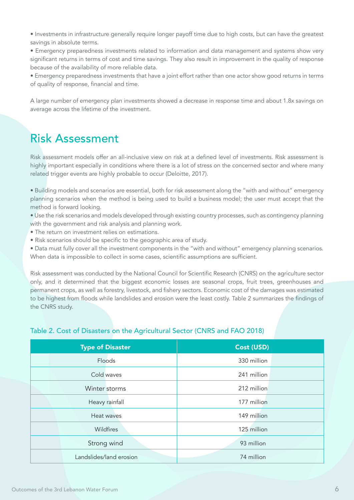• Investments in infrastructure generally require longer payoff time due to high costs, but can have the greatest savings in absolute terms.

• Emergency preparedness investments related to information and data management and systems show very significant returns in terms of cost and time savings. They also result in improvement in the quality of response because of the availability of more reliable data.

• Emergency preparedness investments that have a joint effort rather than one actor show good returns in terms of quality of response, financial and time.

A large number of emergency plan investments showed a decrease in response time and about 1.8x savings on average across the lifetime of the investment.

### Risk Assessment

Risk assessment models offer an all-inclusive view on risk at a defined level of investments. Risk assessment is highly important especially in conditions where there is a lot of stress on the concerned sector and where many related trigger events are highly probable to occur (Deloitte, 2017).

• Building models and scenarios are essential, both for risk assessment along the "with and without" emergency planning scenarios when the method is being used to build a business model; the user must accept that the method is forward looking.

• Use the risk scenarios and models developed through existing country processes, such as contingency planning with the government and risk analysis and planning work.

- The return on investment relies on estimations.
- Risk scenarios should be specific to the geographic area of study.

• Data must fully cover all the investment components in the "with and without" emergency planning scenarios. When data is impossible to collect in some cases, scientific assumptions are sufficient.

Risk assessment was conducted by the National Council for Scientific Research (CNRS) on the agriculture sector only, and it determined that the biggest economic losses are seasonal crops, fruit trees, greenhouses and permanent crops, as well as forestry, livestock, and fishery sectors. Economic cost of the damages was estimated to be highest from floods while landslides and erosion were the least costly. Table 2 summarizes the findings of the CNRS study.

| <b>Type of Disaster</b> | Cost (USD)  |
|-------------------------|-------------|
| Floods                  | 330 million |
| Cold waves              | 241 million |
| Winter storms           | 212 million |
| Heavy rainfall          | 177 million |
| Heat waves              | 149 million |
| Wildfires               | 125 million |
| Strong wind             | 93 million  |
| Landslides/land erosion | 74 million  |

#### Table 2. Cost of Disasters on the Agricultural Sector (CNRS and FAO 2018)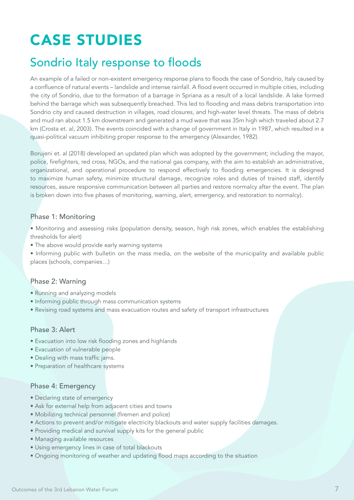# CASE STUDIES

### Sondrio Italy response to floods

An example of a failed or non-existent emergency response plans to floods the case of Sondrio, Italy caused by a confluence of natural events – landslide and intense rainfall. A flood event occurred in multiple cities, including the city of Sondrio, due to the formation of a barrage in Spriana as a result of a local landslide. A lake formed behind the barrage which was subsequently breached. This led to flooding and mass debris transportation into Sondrio city and caused destruction in villages, road closures, and high-water level threats. The mass of debris and mud ran about 1.5 km downstream and generated a mud wave that was 35m high which traveled about 2.7 km (Crosta et. al, 2003). The events coincided with a change of government in Italy in 1987, which resulted in a quasi-political vacuum inhibiting proper response to the emergency (Alexander, 1982).

Borujeni et. al (2018) developed an updated plan which was adopted by the government; including the mayor, police, firefighters, red cross, NGOs, and the national gas company, with the aim to establish an administrative, organizational, and operational procedure to respond effectively to flooding emergencies. It is designed to maximize human safety, minimize structural damage, recognize roles and duties of trained staff, identify resources, assure responsive communication between all parties and restore normalcy after the event. The plan is broken down into five phases of monitoring, warning, alert, emergency, and restoration to normalcy).

#### Phase 1: Monitoring

• Monitoring and assessing risks (population density, season, high risk zones, which enables the establishing thresholds for alert)

• The above would provide early warning systems

• Informing public with bulletin on the mass media, on the website of the municipality and available public places (schools, companies…)

#### Phase 2: Warning

- Running and analyzing models
- Informing public through mass communication systems
- Revising road systems and mass evacuation routes and safety of transport infrastructures

#### Phase 3: Alert

- Evacuation into low risk flooding zones and highlands
- Evacuation of vulnerable people
- Dealing with mass traffic jams.
- Preparation of healthcare systems

#### Phase 4: Emergency

- Declaring state of emergency
- Ask for external help from adjacent cities and towns
- Mobilizing technical personnel (firemen and police)
- Actions to prevent and/or mitigate electricity blackouts and water supply facilities damages.
- Providing medical and survival supply kits for the general public
- Managing available resources
- Using emergency lines in case of total blackouts
- Ongoing monitoring of weather and updating flood maps according to the situation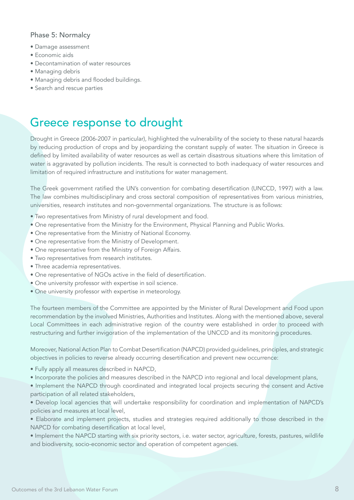#### Phase 5: Normalcy

- Damage assessment
- Economic aids
- Decontamination of water resources
- Managing debris
- Managing debris and flooded buildings.
- Search and rescue parties

#### Greece response to drought

Drought in Greece (2006-2007 in particular), highlighted the vulnerability of the society to these natural hazards by reducing production of crops and by jeopardizing the constant supply of water. The situation in Greece is defined by limited availability of water resources as well as certain disastrous situations where this limitation of water is aggravated by pollution incidents. The result is connected to both inadequacy of water resources and limitation of required infrastructure and institutions for water management.

The Greek government ratified the UN's convention for combating desertification (UNCCD, 1997) with a law. The law combines multidisciplinary and cross sectoral composition of representatives from various ministries, universities, research institutes and non-governmental organizations. The structure is as follows:

- Two representatives from Ministry of rural development and food.
- One representative from the Ministry for the Environment, Physical Planning and Public Works.
- One representative from the Ministry of National Economy.
- One representative from the Ministry of Development.
- One representative from the Ministry of Foreign Affairs.
- Two representatives from research institutes.
- Three academia representatives.
- One representative of NGOs active in the field of desertification.
- One university professor with expertise in soil science.
- One university professor with expertise in meteorology.

The fourteen members of the Committee are appointed by the Minister of Rural Development and Food upon recommendation by the involved Ministries, Authorities and Institutes. Along with the mentioned above, several Local Committees in each administrative region of the country were established in order to proceed with restructuring and further invigoration of the implementation of the UNCCD and its monitoring procedures.

Moreover, National Action Plan to Combat Desertification (NAPCD) provided guidelines, principles, and strategic objectives in policies to reverse already occurring desertification and prevent new occurrence:

- Fully apply all measures described in NAPCD,
- Incorporate the policies and measures described in the NAPCD into regional and local development plans,
- Implement the NAPCD through coordinated and integrated local projects securing the consent and Active participation of all related stakeholders,

• Develop local agencies that will undertake responsibility for coordination and implementation of NAPCD's policies and measures at local level,

• Elaborate and implement projects, studies and strategies required additionally to those described in the NAPCD for combating desertification at local level,

• Implement the NAPCD starting with six priority sectors, i.e. water sector, agriculture, forests, pastures, wildlife and biodiversity, socio-economic sector and operation of competent agencies.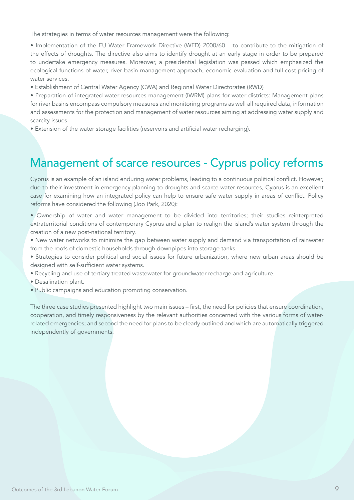The strategies in terms of water resources management were the following:

• Implementation of the EU Water Framework Directive (WFD) 2000/60 – to contribute to the mitigation of the effects of droughts. The directive also aims to identify drought at an early stage in order to be prepared to undertake emergency measures. Moreover, a presidential legislation was passed which emphasized the ecological functions of water, river basin management approach, economic evaluation and full-cost pricing of water services.

• Establishment of Central Water Agency (CWA) and Regional Water Directorates (RWD)

• Preparation of integrated water resources management (IWRM) plans for water districts: Management plans for river basins encompass compulsory measures and monitoring programs as well all required data, information and assessments for the protection and management of water resources aiming at addressing water supply and scarcity issues.

• Extension of the water storage facilities (reservoirs and artificial water recharging).

### Management of scarce resources - Cyprus policy reforms

Cyprus is an example of an island enduring water problems, leading to a continuous political conflict. However, due to their investment in emergency planning to droughts and scarce water resources, Cyprus is an excellent case for examining how an integrated policy can help to ensure safe water supply in areas of conflict. Policy reforms have considered the following (Joo Park, 2020):

- Ownership of water and water management to be divided into territories; their studies reinterpreted extraterritorial conditions of contemporary Cyprus and a plan to realign the island's water system through the creation of a new post-national territory.
- New water networks to minimize the gap between water supply and demand via transportation of rainwater from the roofs of domestic households through downpipes into storage tanks.
- Strategies to consider political and social issues for future urbanization, where new urban areas should be designed with self-sufficient water systems.
- Recycling and use of tertiary treated wastewater for groundwater recharge and agriculture.
- Desalination plant.
- Public campaigns and education promoting conservation.

The three case studies presented highlight two main issues – first, the need for policies that ensure coordination, cooperation, and timely responsiveness by the relevant authorities concerned with the various forms of waterrelated emergencies; and second the need for plans to be clearly outlined and which are automatically triggered independently of governments.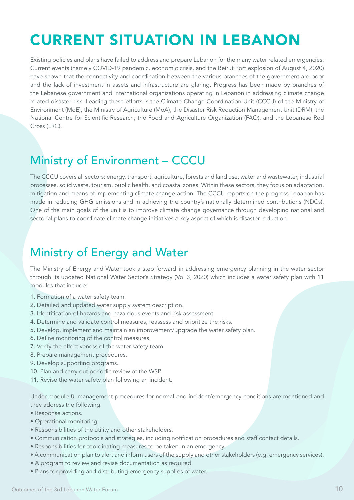# CURRENT SITUATION IN LEBANON

Existing policies and plans have failed to address and prepare Lebanon for the many water related emergencies. Current events (namely COVID-19 pandemic, economic crisis, and the Beirut Port explosion of August 4, 2020) have shown that the connectivity and coordination between the various branches of the government are poor and the lack of investment in assets and infrastructure are glaring. Progress has been made by branches of the Lebanese government and international organizations operating in Lebanon in addressing climate change related disaster risk. Leading these efforts is the Climate Change Coordination Unit (CCCU) of the Ministry of Environment (MoE), the Ministry of Agriculture (MoA), the Disaster Risk Reduction Management Unit (DRM), the National Centre for Scientific Research, the Food and Agriculture Organization (FAO), and the Lebanese Red Cross (LRC).

### Ministry of Environment – CCCU

The CCCU covers all sectors: energy, transport, agriculture, forests and land use, water and wastewater, industrial processes, solid waste, tourism, public health, and coastal zones. Within these sectors, they focus on adaptation, mitigation and means of implementing climate change action. The CCCU reports on the progress Lebanon has made in reducing GHG emissions and in achieving the country's nationally determined contributions (NDCs). One of the main goals of the unit is to improve climate change governance through developing national and sectorial plans to coordinate climate change initiatives a key aspect of which is disaster reduction.

### Ministry of Energy and Water

The Ministry of Energy and Water took a step forward in addressing emergency planning in the water sector through its updated National Water Sector's Strategy (Vol 3, 2020) which includes a water safety plan with 11 modules that include:

- 1. Formation of a water safety team.
- 2. Detailed and updated water supply system description.
- 3. Identification of hazards and hazardous events and risk assessment.
- 4. Determine and validate control measures, reassess and prioritize the risks.
- 5. Develop, implement and maintain an improvement/upgrade the water safety plan.
- 6. Define monitoring of the control measures.
- 7. Verify the effectiveness of the water safety team.
- 8. Prepare management procedures.
- 9. Develop supporting programs.
- 10. Plan and carry out periodic review of the WSP.
- 11. Revise the water safety plan following an incident.

Under module 8, management procedures for normal and incident/emergency conditions are mentioned and they address the following:

- Response actions.
- Operational monitoring.
- Responsibilities of the utility and other stakeholders.
- Communication protocols and strategies, including notification procedures and staff contact details.
- Responsibilities for coordinating measures to be taken in an emergency.
- A communication plan to alert and inform users of the supply and other stakeholders (e.g. emergency services).
- A program to review and revise documentation as required.
- Plans for providing and distributing emergency supplies of water.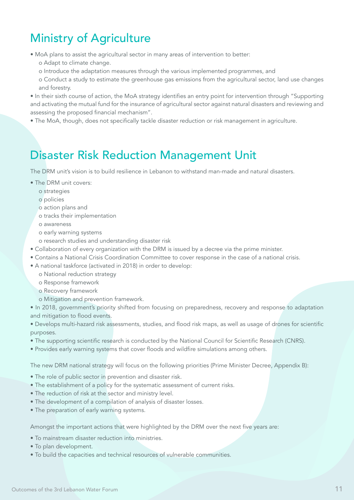### Ministry of Agriculture

• MoA plans to assist the agricultural sector in many areas of intervention to better:

- o Adapt to climate change.
- o Introduce the adaptation measures through the various implemented programmes, and
- o Conduct a study to estimate the greenhouse gas emissions from the agricultural sector, land use changes and forestry.

• In their sixth course of action, the MoA strategy identifies an entry point for intervention through "Supporting and activating the mutual fund for the insurance of agricultural sector against natural disasters and reviewing and assessing the proposed financial mechanism".

• The MoA, though, does not specifically tackle disaster reduction or risk management in agriculture.

### Disaster Risk Reduction Management Unit

The DRM unit's vision is to build resilience in Lebanon to withstand man-made and natural disasters.

- The DRM unit covers:
	- o strategies
	- o policies
	- o action plans and
	- o tracks their implementation
	- o awareness
	- o early warning systems
	- o research studies and understanding disaster risk
- Collaboration of every organization with the DRM is issued by a decree via the prime minister.
- Contains a National Crisis Coordination Committee to cover response in the case of a national crisis.
- A national taskforce (activated in 2018) in order to develop:
	- o National reduction strategy
	- o Response framework
	- o Recovery framework
	- o Mitigation and prevention framework.

• In 2018, government's priority shifted from focusing on preparedness, recovery and response to adaptation and mitigation to flood events.

• Develops multi-hazard risk assessments, studies, and flood risk maps, as well as usage of drones for scientific purposes.

- The supporting scientific research is conducted by the National Council for Scientific Research (CNRS).
- Provides early warning systems that cover floods and wildfire simulations among others.

The new DRM national strategy will focus on the following priorities (Prime Minister Decree, Appendix B):

- The role of public sector in prevention and disaster risk.
- The establishment of a policy for the systematic assessment of current risks.
- The reduction of risk at the sector and ministry level.
- The development of a compilation of analysis of disaster losses.
- The preparation of early warning systems.

Amongst the important actions that were highlighted by the DRM over the next five years are:

- To mainstream disaster reduction into ministries.
- To plan development.
- To build the capacities and technical resources of vulnerable communities.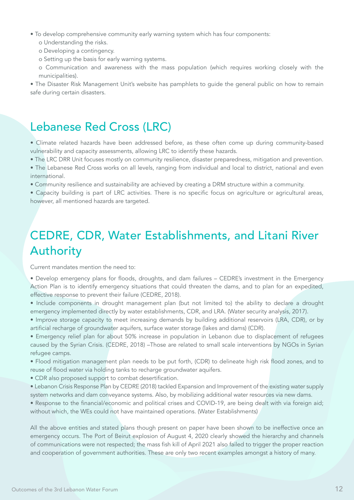- To develop comprehensive community early warning system which has four components:
	- o Understanding the risks.
	- o Developing a contingency.
	- o Setting up the basis for early warning systems.
	- o Communication and awareness with the mass population (which requires working closely with the municipalities).

• The Disaster Risk Management Unit's website has pamphlets to guide the general public on how to remain safe during certain disasters.

### Lebanese Red Cross (LRC)

- Climate related hazards have been addressed before, as these often come up during community-based vulnerability and capacity assessments, allowing LRC to identify these hazards.
- The LRC DRR Unit focuses mostly on community resilience, disaster preparedness, mitigation and prevention.
- The Lebanese Red Cross works on all levels, ranging from individual and local to district, national and even international.
- Community resilience and sustainability are achieved by creating a DRM structure within a community.
- Capacity building is part of LRC activities. There is no specific focus on agriculture or agricultural areas, however, all mentioned hazards are targeted.

### CEDRE, CDR, Water Establishments, and Litani River Authority

Current mandates mention the need to:

- Develop emergency plans for floods, droughts, and dam failures CEDRE's investment in the Emergency Action Plan is to identify emergency situations that could threaten the dams, and to plan for an expedited, effective response to prevent their failure (CEDRE, 2018).
- Include components in drought management plan (but not limited to) the ability to declare a drought emergency implemented directly by water establishments, CDR, and LRA. (Water security analysis, 2017).
- Improve storage capacity to meet increasing demands by building additional reservoirs (LRA, CDR), or by artificial recharge of groundwater aquifers, surface water storage (lakes and dams) (CDR).
- Emergency relief plan for about 50% increase in population in Lebanon due to displacement of refugees caused by the Syrian Crisis. (CEDRE, 2018) –Those are related to small scale interventions by NGOs in Syrian refugee camps.
- Flood mitigation management plan needs to be put forth, (CDR) to delineate high risk flood zones, and to reuse of flood water via holding tanks to recharge groundwater aquifers.
- CDR also proposed support to combat desertification.
- Lebanon Crisis Response Plan by CEDRE (2018) tackled Expansion and Improvement of the existing water supply system networks and dam conveyance systems. Also, by mobilizing additional water resources via new dams.
- Response to the financial/economic and political crises and COVID-19, are being dealt with via foreign aid; without which, the WEs could not have maintained operations. (Water Establishments)

All the above entities and stated plans though present on paper have been shown to be ineffective once an emergency occurs. The Port of Beirut explosion of August 4, 2020 clearly showed the hierarchy and channels of communications were not respected; the mass fish kill of April 2021 also failed to trigger the proper reaction and cooperation of government authorities. These are only two recent examples amongst a history of many.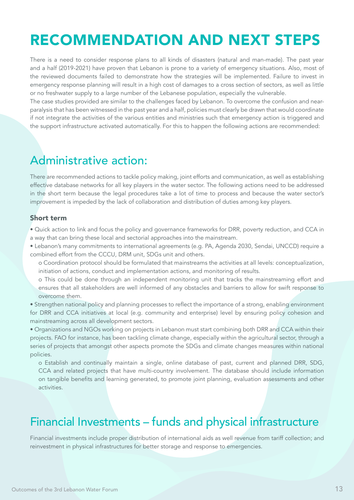## RECOMMENDATION AND NEXT STEPS

There is a need to consider response plans to all kinds of disasters (natural and man-made). The past year and a half (2019-2021) have proven that Lebanon is prone to a variety of emergency situations. Also, most of the reviewed documents failed to demonstrate how the strategies will be implemented. Failure to invest in emergency response planning will result in a high cost of damages to a cross section of sectors, as well as little or no freshwater supply to a large number of the Lebanese population, especially the vulnerable.

The case studies provided are similar to the challenges faced by Lebanon. To overcome the confusion and nearparalysis that has been witnessed in the past year and a half, policies must clearly be drawn that would coordinate if not integrate the activities of the various entities and ministries such that emergency action is triggered and the support infrastructure activated automatically. For this to happen the following actions are recommended:

#### Administrative action:

There are recommended actions to tackle policy making, joint efforts and communication, as well as establishing effective database networks for all key players in the water sector. The following actions need to be addressed in the short term because the legal procedures take a lot of time to process and because the water sector's improvement is impeded by the lack of collaboration and distribution of duties among key players.

#### Short term

• Quick action to link and focus the policy and governance frameworks for DRR, poverty reduction, and CCA in a way that can bring these local and sectorial approaches into the mainstream.

• Lebanon's many commitments to international agreements (e.g. PA, Agenda 2030, Sendai, UNCCD) require a combined effort from the CCCU, DRM unit, SDGs unit and others.

o Coordination protocol should be formulated that mainstreams the activities at all levels: conceptualization, initiation of actions, conduct and implementation actions, and monitoring of results.

o This could be done through an independent monitoring unit that tracks the mainstreaming effort and ensures that all stakeholders are well informed of any obstacles and barriers to allow for swift response to overcome them.

• Strengthen national policy and planning processes to reflect the importance of a strong, enabling environment for DRR and CCA initiatives at local (e.g. community and enterprise) level by ensuring policy cohesion and mainstreaming across all development sectors.

• Organizations and NGOs working on projects in Lebanon must start combining both DRR and CCA within their projects. FAO for instance, has been tackling climate change, especially within the agricultural sector, through a series of projects that amongst other aspects promote the SDGs and climate changes measures within national policies.

o Establish and continually maintain a single, online database of past, current and planned DRR, SDG, CCA and related projects that have multi-country involvement. The database should include information on tangible benefits and learning generated, to promote joint planning, evaluation assessments and other activities.

### Financial Investments – funds and physical infrastructure

Financial investments include proper distribution of international aids as well revenue from tariff collection; and reinvestment in physical infrastructures for better storage and response to emergencies.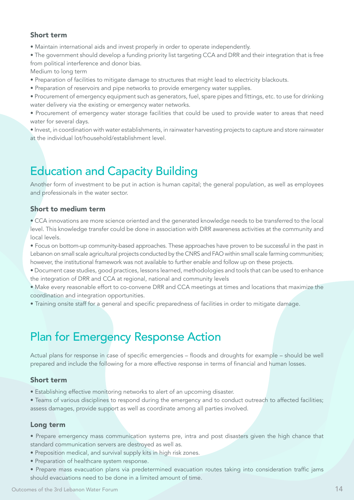#### Short term

• Maintain international aids and invest properly in order to operate independently.

• The government should develop a funding priority list targeting CCA and DRR and their integration that is free from political interference and donor bias.

Medium to long term

- Preparation of facilities to mitigate damage to structures that might lead to electricity blackouts.
- Preparation of reservoirs and pipe networks to provide emergency water supplies.
- Procurement of emergency equipment such as generators, fuel, spare pipes and fittings, etc. to use for drinking water delivery via the existing or emergency water networks.
- Procurement of emergency water storage facilities that could be used to provide water to areas that need water for several days.
- Invest, in coordination with water establishments, in rainwater harvesting projects to capture and store rainwater at the individual lot/household/establishment level.

### Education and Capacity Building

Another form of investment to be put in action is human capital; the general population, as well as employees and professionals in the water sector.

#### Short to medium term

• CCA innovations are more science oriented and the generated knowledge needs to be transferred to the local level. This knowledge transfer could be done in association with DRR awareness activities at the community and local levels.

• Focus on bottom-up community-based approaches. These approaches have proven to be successful in the past in Lebanon on small scale agricultural projects conducted by the CNRS and FAO within small scale farming communities; however, the institutional framework was not available to further enable and follow up on these projects.

- Document case studies, good practices, lessons learned, methodologies and tools that can be used to enhance the integration of DRR and CCA at regional, national and community levels
- Make every reasonable effort to co-convene DRR and CCA meetings at times and locations that maximize the coordination and integration opportunities.
- Training onsite staff for a general and specific preparedness of facilities in order to mitigate damage.

### Plan for Emergency Response Action

Actual plans for response in case of specific emergencies – floods and droughts for example – should be well prepared and include the following for a more effective response in terms of financial and human losses.

#### Short term

• Establishing effective monitoring networks to alert of an upcoming disaster.

• Teams of various disciplines to respond during the emergency and to conduct outreach to affected facilities; assess damages, provide support as well as coordinate among all parties involved.

#### Long term

- Prepare emergency mass communication systems pre, intra and post disasters given the high chance that standard communication servers are destroyed as well as.
- Preposition medical, and survival supply kits in high risk zones.
- Preparation of healthcare system response.
- Prepare mass evacuation plans via predetermined evacuation routes taking into consideration traffic jams should evacuations need to be done in a limited amount of time.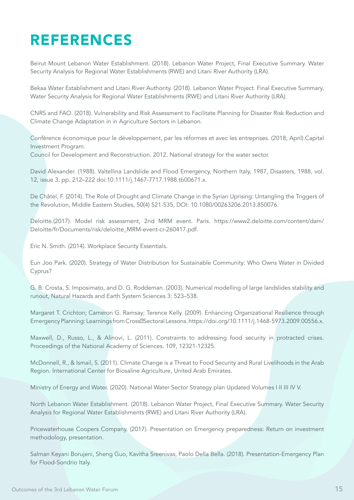# REFERENCES

Beirut Mount Lebanon Water Establishment. (2018). Lebanon Water Project, Final Executive Summary. Water Security Analysis for Regional Water Establishments (RWE) and Litani River Authority (LRA).

Bekaa Water Establishment and Litani River Authority. (2018). Lebanon Water Project. Final Executive Summary. Water Security Analysis for Regional Water Establishments (RWE) and Litani River Authority (LRA).

CNRS and FAO. (2018). Vulnerability and Risk Assessment to Facilitate Planning for Disaster Risk Reduction and Climate Change Adaptation in in Agriculture Sectors in Lebanon.

Conférence économique pour le développement, par les réformes et avec les entreprises. (2018, April).Capital Investment Program. Council for Development and Reconstruction. 2012. National strategy for the water sector.

David Alexander. (1988). Valtellina Landslide and Flood Emergency, Northern Italy, 1987, Disasters, 1988, vol. 12, issue 3, pp. 212–222 doi:10.1111/j.1467-7717.1988.tb00671.x.

De Châtel, F. (2014). The Role of Drought and Climate Change in the Syrian Uprising: Untangling the Triggers of the Revolution, Middle Eastern Studies, 50(4) 521-535, DOI: 10.1080/00263206.2013.850076.

Deloitte.(2017). Model risk assessment, 2nd MRM event. Paris. https://www2.deloitte.com/content/dam/ Deloitte/fr/Documents/risk/deloitte\_MRM-event-cr-260417.pdf.

Eric N. Smith. (2014). Workplace Security Essentials.

Eun Joo Park. (2020). Strategy of Water Distribution for Sustainable Community: Who Owns Water in Divided Cyprus?

G. B. Crosta, S. Imposimato, and D. G. Roddeman. (2003). Numerical modelling of large landslides stability and runout, Natural Hazards and Earth System Sciences 3: 523–538.

Margaret T. Crichton; Cameron G. Ramsay; Terence Kelly. (2009). Enhancing Organizational Resilience through Emergency Planning: Learnings from Cross<sup>m</sup>Sectoral Lessons. https://doi.org/10.1111/j.1468-5973.2009.00556.x.

Maxwell, D., Russo, L., & Alinovi, L. (2011). Constraints to addressing food security in protracted crises. Proceedings of the National Academy of Sciences. 109, 12321-12325.

McDonnell, R., & Ismail, S. (2011). Climate Change is a Threat to Food Security and Rural Livelihoods in the Arab Region. International Center for Biosaline Agriculture, United Arab Emirates.

Ministry of Energy and Water. (2020). National Water Sector Strategy plan Updated Volumes I II III IV V.

North Lebanon Water Establishment. (2018). Lebanon Water Project, Final Executive Summary. Water Security Analysis for Regional Water Establishments (RWE) and Litani River Authority (LRA).

Pricewaterhouse Coopers Company. (2017). Presentation on Emergency preparedness: Return on investment methodology, presentation.

Salman Keyani Borujeni, Sheng Guo, Kavitha Sreenivas, Paolo Della Bella. (2018). Presentation-Emergency Plan for Flood-Sondrio Italy.